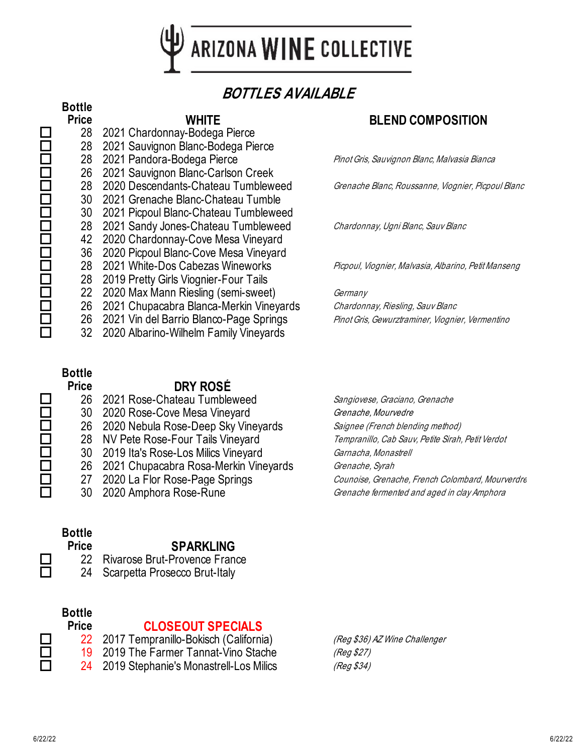

# **BOTTLES AVAILABLE**

### **B**

| <b>Bottle</b> |                                         |                                                      |
|---------------|-----------------------------------------|------------------------------------------------------|
| <b>Price</b>  | <b>WHITE</b>                            | <b>BLEND COMPOSITION</b>                             |
| 28            | 2021 Chardonnay-Bodega Pierce           |                                                      |
| 28            | 2021 Sauvignon Blanc-Bodega Pierce      |                                                      |
| 28            | 2021 Pandora-Bodega Pierce              | Pinot Gris, Sauvignon Blanc, Malvasia Bianca         |
| 26            | 2021 Sauvignon Blanc-Carlson Creek      |                                                      |
| 28            | 2020 Descendants-Chateau Tumbleweed     | Grenache Blanc, Roussanne, Viognier, Picpoul Blanc   |
| 30            | 2021 Grenache Blanc-Chateau Tumble      |                                                      |
| 30            | 2021 Picpoul Blanc-Chateau Tumbleweed   |                                                      |
| 28            | 2021 Sandy Jones-Chateau Tumbleweed     | Chardonnay, Ugni Blanc, Sauv Blanc                   |
| 42            | 2020 Chardonnay-Cove Mesa Vineyard      |                                                      |
| 36            | 2020 Picpoul Blanc-Cove Mesa Vineyard   |                                                      |
| 28            | 2021 White-Dos Cabezas Wineworks        | Picpoul, Viognier, Malvasia, Albarino, Petit Manseng |
| 28            | 2019 Pretty Girls Viognier-Four Tails   |                                                      |
| 22            | 2020 Max Mann Riesling (semi-sweet)     | Germany                                              |
| 26            | 2021 Chupacabra Blanca-Merkin Vineyards | Chardonnay, Riesling, Sauv Blanc                     |
| 26            | 2021 Vin del Barrio Blanco-Page Springs | Pinot Gris, Gewurztraminer, Viognier, Vermentino     |
| 32            | 2020 Albarino-Wilhelm Family Vineyards  |                                                      |
|               |                                         |                                                      |

## **Bottle**

|        | <b>BOTTIE</b> |                                          |                                                   |
|--------|---------------|------------------------------------------|---------------------------------------------------|
|        | <b>Price</b>  | DRY ROSÉ                                 |                                                   |
| $\Box$ | 26            | 2021 Rose-Chateau Tumbleweed             | Sangiovese, Graciano, Grenache                    |
| $\Box$ | 30            | 2020 Rose-Cove Mesa Vineyard             | Grenache, Mourvedre                               |
| $\Box$ |               | 26 2020 Nebula Rose-Deep Sky Vineyards   | Saignee (French blending method)                  |
| $\Box$ | 28            | NV Pete Rose-Four Tails Vineyard         | Tempranillo, Cab Sauv, Petite Sirah, Petit Verdot |
| $\Box$ |               | 30 2019 Ita's Rose-Los Milics Vineyard   | Garnacha, Monastrell                              |
| $\Box$ |               | 26 2021 Chupacabra Rosa-Merkin Vineyards | Grenache, Syrah                                   |
| $\Box$ | 27            | 2020 La Flor Rose-Page Springs           | Counoise, Grenache, French Colombard, Mourverdre  |
| $\Box$ | 30.           | 2020 Amphora Rose-Rune                   | Grenache fermented and aged in clay Amphora       |
|        |               |                                          |                                                   |

# **Bottle**

**PRICE SPARKLING**<br> **Price Price Section**<br> **Provence Fran** □ 22 Rivarose Brut-Provence France<br>□ 24 Scarpetta Prosecco Brut-Italy Scarpetta Prosecco Brut-Italy

# **Bottle**

### **Price CLOSEOUT SPECIALS**

| ------ | <u>ULUULUUT UI LUMEU</u>                  |                               |
|--------|-------------------------------------------|-------------------------------|
|        | 22 2017 Tempranillo-Bokisch (California)  | (Reg \$36) AZ Wine Challenger |
|        | 19 2019 The Farmer Tannat-Vino Stache     | (Reg \$27)                    |
|        | 24 2019 Stephanie's Monastrell-Los Milics | (Reg \$34)                    |